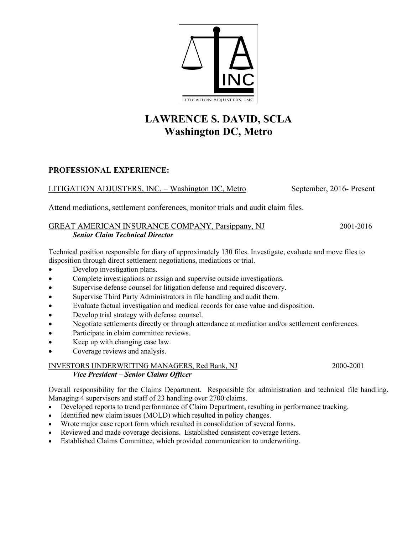

# **LAWRENCE S. DAVID, SCLA Washington DC, Metro**

# **PROFESSIONAL EXPERIENCE:**

## LITIGATION ADJUSTERS, INC. – Washington DC, Metro September, 2016- Present

Attend mediations, settlement conferences, monitor trials and audit claim files.

## GREAT AMERICAN INSURANCE COMPANY, Parsippany, NJ 2001-2016 *Senior Claim Technical Director*

Technical position responsible for diary of approximately 130 files. Investigate, evaluate and move files to disposition through direct settlement negotiations, mediations or trial.

- Develop investigation plans.
- Complete investigations or assign and supervise outside investigations.
- Supervise defense counsel for litigation defense and required discovery.
- Supervise Third Party Administrators in file handling and audit them.
- Evaluate factual investigation and medical records for case value and disposition.
- Develop trial strategy with defense counsel.
- Negotiate settlements directly or through attendance at mediation and/or settlement conferences.
- Participate in claim committee reviews.
- Keep up with changing case law.
- Coverage reviews and analysis.

### INVESTORS UNDERWRITING MANAGERS, Red Bank, NJ 2000-2001  *Vice President – Senior Claims Officer*

Overall responsibility for the Claims Department. Responsible for administration and technical file handling. Managing 4 supervisors and staff of 23 handling over 2700 claims.

- Developed reports to trend performance of Claim Department, resulting in performance tracking.
- Identified new claim issues (MOLD) which resulted in policy changes.
- Wrote major case report form which resulted in consolidation of several forms.
- Reviewed and made coverage decisions. Established consistent coverage letters.
- Established Claims Committee, which provided communication to underwriting.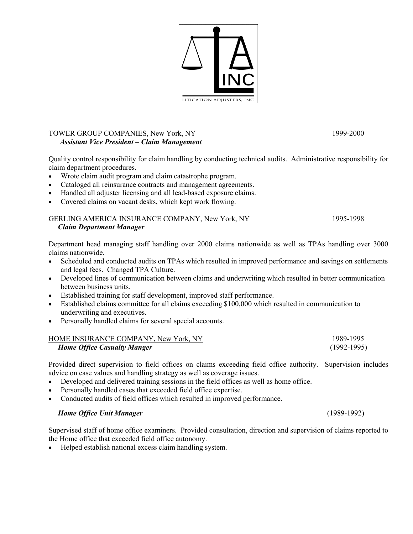

#### TOWER GROUP COMPANIES, New York, NY 1999-2000  *Assistant Vice President – Claim Management*

Quality control responsibility for claim handling by conducting technical audits. Administrative responsibility for claim department procedures.

- Wrote claim audit program and claim catastrophe program.
- Cataloged all reinsurance contracts and management agreements.
- Handled all adjuster licensing and all lead-based exposure claims.
- Covered claims on vacant desks, which kept work flowing.

#### GERLING AMERICA INSURANCE COMPANY, New York, NY 1995-1998  *Claim Department Manager*

Department head managing staff handling over 2000 claims nationwide as well as TPAs handling over 3000 claims nationwide.

- Scheduled and conducted audits on TPAs which resulted in improved performance and savings on settlements and legal fees. Changed TPA Culture.
- Developed lines of communication between claims and underwriting which resulted in better communication between business units.
- Established training for staff development, improved staff performance.
- Established claims committee for all claims exceeding \$100,000 which resulted in communication to underwriting and executives.
- Personally handled claims for several special accounts.

| HOME INSURANCE COMPANY, New York, NY | 1989-1995     |
|--------------------------------------|---------------|
| <b>Home Office Casualty Manger</b>   | $(1992-1995)$ |

Provided direct supervision to field offices on claims exceeding field office authority. Supervision includes advice on case values and handling strategy as well as coverage issues.

- Developed and delivered training sessions in the field offices as well as home office.
- Personally handled cases that exceeded field office expertise.
- Conducted audits of field offices which resulted in improved performance.

#### *Home Office Unit Manager* (1989-1992)

Supervised staff of home office examiners. Provided consultation, direction and supervision of claims reported to the Home office that exceeded field office autonomy.

• Helped establish national excess claim handling system.